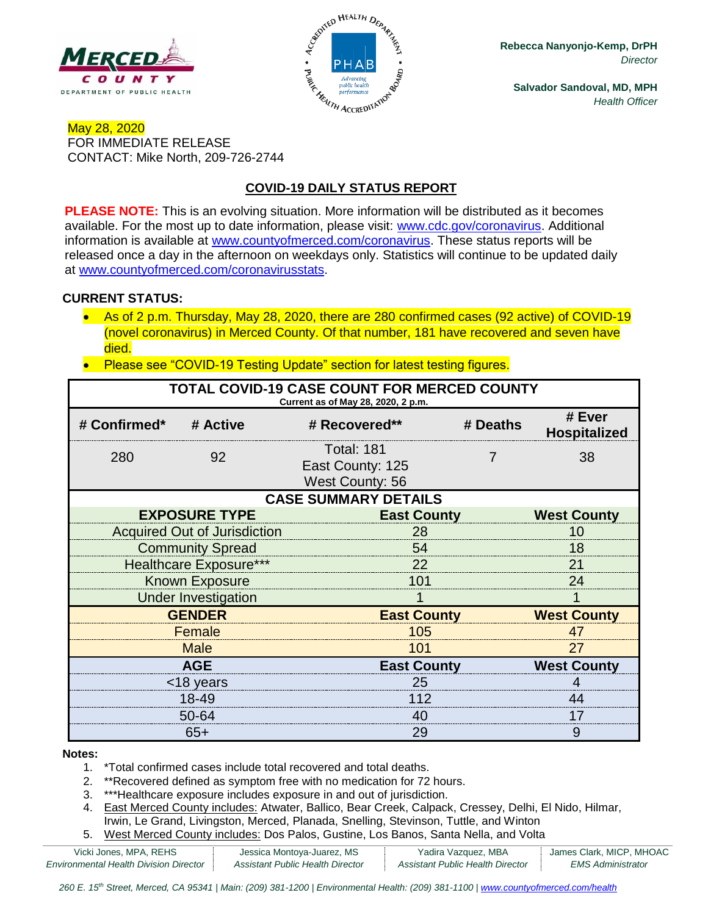



**Rebecca Nanyonjo-Kemp, DrPH** *Director*

**Salvador Sandoval, MD, MPH** *Health Officer*

## May 28, 2020 FOR IMMEDIATE RELEASE CONTACT: Mike North, 209-726-2744

## **COVID-19 DAILY STATUS REPORT**

**PLEASE NOTE:** This is an evolving situation. More information will be distributed as it becomes available. For the most up to date information, please visit: [www.cdc.gov/coronavirus.](http://www.cdc.gov/coronavirus) Additional information is available at [www.countyofmerced.com/coronavirus.](http://www.countyofmerced.com/coronavirus) These status reports will be released once a day in the afternoon on weekdays only. Statistics will continue to be updated daily at [www.countyofmerced.com/coronavirusstats.](http://www.countyofmerced.com/coronavirusstats)

### **CURRENT STATUS:**

- As of 2 p.m. Thursday, May 28, 2020, there are 280 confirmed cases (92 active) of COVID-19 (novel coronavirus) in Merced County. Of that number, 181 have recovered and seven have died.
- Please see "COVID-19 Testing Update" section for latest testing figures.

| TOTAL COVID-19 CASE COUNT FOR MERCED COUNTY<br>Current as of May 28, 2020, 2 p.m. |                                     |                                                                 |                    |                               |  |  |  |
|-----------------------------------------------------------------------------------|-------------------------------------|-----------------------------------------------------------------|--------------------|-------------------------------|--|--|--|
| # Confirmed*                                                                      | # Active                            | # Recovered**                                                   | # Deaths           | # Ever<br><b>Hospitalized</b> |  |  |  |
| 280                                                                               | 92                                  | <b>Total: 181</b><br>East County: 125<br><b>West County: 56</b> | 7                  | 38                            |  |  |  |
| <b>CASE SUMMARY DETAILS</b>                                                       |                                     |                                                                 |                    |                               |  |  |  |
|                                                                                   | <b>EXPOSURE TYPE</b>                |                                                                 | <b>East County</b> |                               |  |  |  |
|                                                                                   | <b>Acquired Out of Jurisdiction</b> | 28                                                              |                    |                               |  |  |  |
|                                                                                   | <b>Community Spread</b>             | 54                                                              |                    |                               |  |  |  |
| <b>Healthcare Exposure***</b>                                                     |                                     | 22                                                              |                    |                               |  |  |  |
| <b>Known Exposure</b>                                                             |                                     | 101                                                             |                    |                               |  |  |  |
| <b>Under Investigation</b>                                                        |                                     |                                                                 |                    |                               |  |  |  |
| <b>GENDER</b>                                                                     |                                     |                                                                 | <b>East County</b> |                               |  |  |  |
| Female                                                                            |                                     | 105                                                             |                    |                               |  |  |  |
| <b>Male</b>                                                                       |                                     | 101                                                             |                    |                               |  |  |  |
| <b>AGE</b>                                                                        |                                     |                                                                 | <b>East County</b> |                               |  |  |  |
| <18 years                                                                         |                                     | 25                                                              |                    |                               |  |  |  |
| 18-49                                                                             |                                     | 112                                                             |                    |                               |  |  |  |
| 50-64                                                                             |                                     | 40                                                              |                    |                               |  |  |  |
| $65+$                                                                             |                                     | 29                                                              |                    | 9                             |  |  |  |

#### **Notes:**

- 1. \*Total confirmed cases include total recovered and total deaths.
- 2. \*\*Recovered defined as symptom free with no medication for 72 hours.
- 3. \*\*\*Healthcare exposure includes exposure in and out of jurisdiction.
- 4. East Merced County includes: Atwater, Ballico, Bear Creek, Calpack, Cressey, Delhi, El Nido, Hilmar, Irwin, Le Grand, Livingston, Merced, Planada, Snelling, Stevinson, Tuttle, and Winton
- 5. West Merced County includes: Dos Palos, Gustine, Los Banos, Santa Nella, and Volta

| Vicki Jones, MPA, REHS                 | Jessica Montoya-Juarez, MS       | Yadira Vazquez, MBA              | James Clark, MICP, MHOAC |
|----------------------------------------|----------------------------------|----------------------------------|--------------------------|
| Environmental Health Division Director | Assistant Public Health Director | Assistant Public Health Director | EMS Administrator        |

*260 E. 15th Street, Merced, CA 95341 | Main: (209) 381-1200 | Environmental Health: (209) 381-1100* | *[www.countyofmerced.com/health](http://www.countyofmerced.com/health)*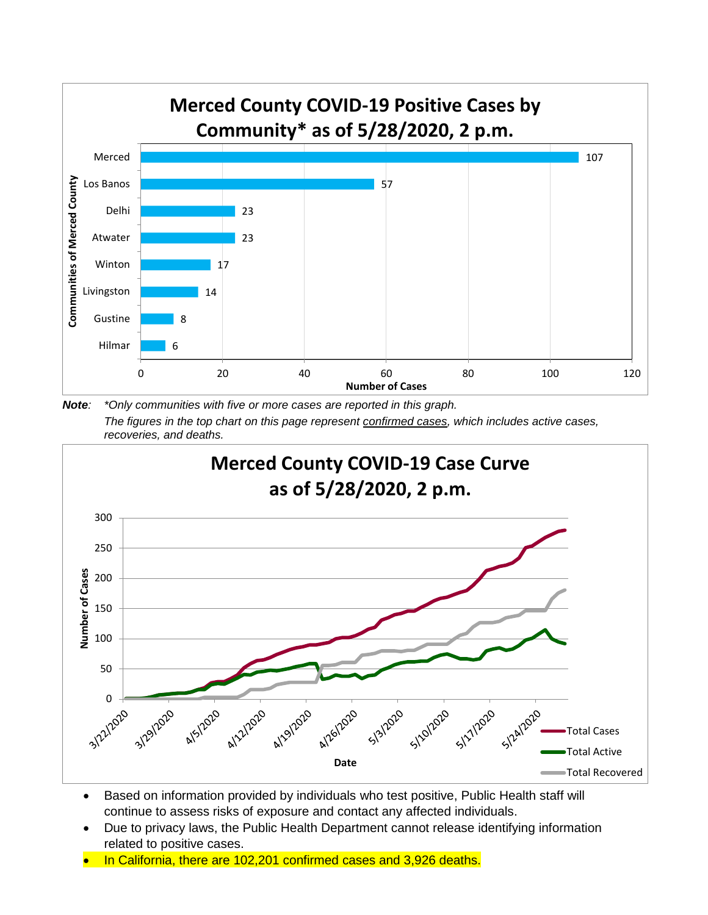

*Note: \*Only communities with five or more cases are reported in this graph. The figures in the top chart on this page represent confirmed cases, which includes active cases, recoveries, and deaths.*



- Based on information provided by individuals who test positive, Public Health staff will continue to assess risks of exposure and contact any affected individuals.
- Due to privacy laws, the Public Health Department cannot release identifying information related to positive cases.
- In California, there are 102,201 confirmed cases and 3,926 deaths.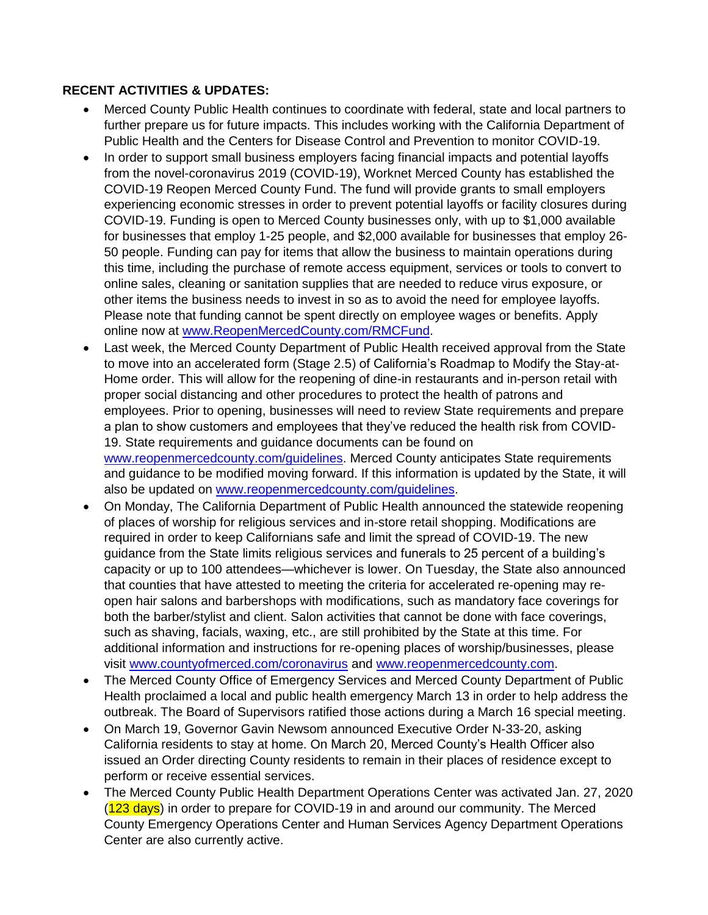### **RECENT ACTIVITIES & UPDATES:**

- Merced County Public Health continues to coordinate with federal, state and local partners to further prepare us for future impacts. This includes working with the California Department of Public Health and the Centers for Disease Control and Prevention to monitor COVID-19.
- In order to support small business employers facing financial impacts and potential layoffs from the novel-coronavirus 2019 (COVID-19), Worknet Merced County has established the COVID-19 Reopen Merced County Fund. The fund will provide grants to small employers experiencing economic stresses in order to prevent potential layoffs or facility closures during COVID-19. Funding is open to Merced County businesses only, with up to \$1,000 available for businesses that employ 1-25 people, and \$2,000 available for businesses that employ 26- 50 people. Funding can pay for items that allow the business to maintain operations during this time, including the purchase of remote access equipment, services or tools to convert to online sales, cleaning or sanitation supplies that are needed to reduce virus exposure, or other items the business needs to invest in so as to avoid the need for employee layoffs. Please note that funding cannot be spent directly on employee wages or benefits. Apply online now at [www.ReopenMercedCounty.com/RMCFund.](http://www.reopenmercedcounty.com/RMCFund)
- Last week, the Merced County Department of Public Health received approval from the State to move into an accelerated form (Stage 2.5) of California's Roadmap to Modify the Stay-at-Home order. This will allow for the reopening of dine-in restaurants and in-person retail with proper social distancing and other procedures to protect the health of patrons and employees. Prior to opening, businesses will need to review State requirements and prepare a plan to show customers and employees that they've reduced the health risk from COVID-19. State requirements and guidance documents can be found on [www.reopenmercedcounty.com/guidelines.](http://www.reopenmercedcounty.com/guidelines) Merced County anticipates State requirements and guidance to be modified moving forward. If this information is updated by the State, it will also be updated on [www.reopenmercedcounty.com/guidelines.](http://www.reopenmercedcounty.com/guidelines)
- On Monday, The California Department of Public Health announced the statewide reopening of places of worship for religious services and in-store retail shopping. Modifications are required in order to keep Californians safe and limit the spread of COVID-19. The new guidance from the State limits religious services and funerals to 25 percent of a building's capacity or up to 100 attendees—whichever is lower. On Tuesday, the State also announced that counties that have attested to meeting the criteria for accelerated re-opening may reopen hair salons and barbershops with modifications, such as mandatory face coverings for both the barber/stylist and client. Salon activities that cannot be done with face coverings, such as shaving, facials, waxing, etc., are still prohibited by the State at this time. For additional information and instructions for re-opening places of worship/businesses, please visit [www.countyofmerced.com/coronavirus](http://www.countyofmerced.com/coronavirus) and [www.reopenmercedcounty.com.](http://www.reopenmercedcounty.com/)
- The Merced County Office of Emergency Services and Merced County Department of Public Health proclaimed a local and public health emergency March 13 in order to help address the outbreak. The Board of Supervisors ratified those actions during a March 16 special meeting.
- On March 19, Governor Gavin Newsom announced Executive Order N-33-20, asking California residents to stay at home. On March 20, Merced County's Health Officer also issued an Order directing County residents to remain in their places of residence except to perform or receive essential services.
- The Merced County Public Health Department Operations Center was activated Jan. 27, 2020 (123 days) in order to prepare for COVID-19 in and around our community. The Merced County Emergency Operations Center and Human Services Agency Department Operations Center are also currently active.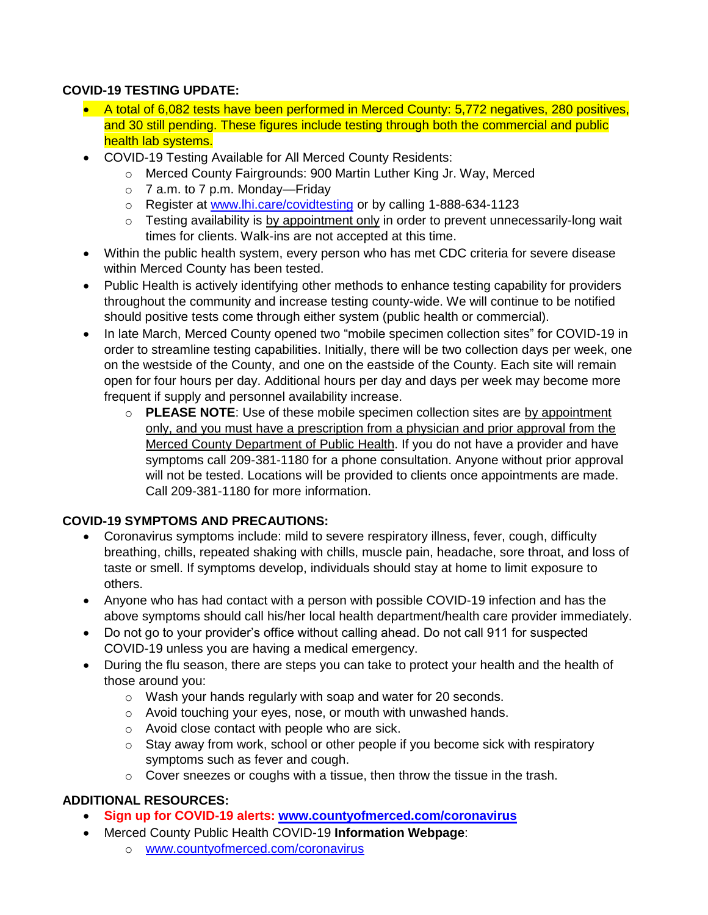## **COVID-19 TESTING UPDATE:**

- A total of 6,082 tests have been performed in Merced County: 5,772 negatives, 280 positives, and 30 still pending. These figures include testing through both the commercial and public health lab systems.
- COVID-19 Testing Available for All Merced County Residents:
	- o Merced County Fairgrounds: 900 Martin Luther King Jr. Way, Merced
	- $\circ$  7 a.m. to 7 p.m. Monday—Friday
	- o Register at [www.lhi.care/covidtesting](http://www.lhi.care/covidtesting) or by calling 1-888-634-1123
	- $\circ$  Testing availability is by appointment only in order to prevent unnecessarily-long wait times for clients. Walk-ins are not accepted at this time.
- Within the public health system, every person who has met CDC criteria for severe disease within Merced County has been tested.
- Public Health is actively identifying other methods to enhance testing capability for providers throughout the community and increase testing county-wide. We will continue to be notified should positive tests come through either system (public health or commercial).
- In late March, Merced County opened two "mobile specimen collection sites" for COVID-19 in order to streamline testing capabilities. Initially, there will be two collection days per week, one on the westside of the County, and one on the eastside of the County. Each site will remain open for four hours per day. Additional hours per day and days per week may become more frequent if supply and personnel availability increase.
	- o **PLEASE NOTE**: Use of these mobile specimen collection sites are by appointment only, and you must have a prescription from a physician and prior approval from the Merced County Department of Public Health. If you do not have a provider and have symptoms call 209-381-1180 for a phone consultation. Anyone without prior approval will not be tested. Locations will be provided to clients once appointments are made. Call 209-381-1180 for more information.

# **COVID-19 SYMPTOMS AND PRECAUTIONS:**

- Coronavirus symptoms include: mild to severe respiratory illness, fever, cough, difficulty breathing, chills, repeated shaking with chills, muscle pain, headache, sore throat, and loss of taste or smell. If symptoms develop, individuals should stay at home to limit exposure to others.
- Anyone who has had contact with a person with possible COVID-19 infection and has the above symptoms should call his/her local health department/health care provider immediately.
- Do not go to your provider's office without calling ahead. Do not call 911 for suspected COVID-19 unless you are having a medical emergency.
- During the flu season, there are steps you can take to protect your health and the health of those around you:
	- o Wash your hands regularly with soap and water for 20 seconds.
	- o Avoid touching your eyes, nose, or mouth with unwashed hands.
	- o Avoid close contact with people who are sick.
	- o Stay away from work, school or other people if you become sick with respiratory symptoms such as fever and cough.
	- o Cover sneezes or coughs with a tissue, then throw the tissue in the trash.

# **ADDITIONAL RESOURCES:**

- **Sign up for COVID-19 alerts: [www.countyofmerced.com/coronavirus](http://www.countyofmerced.com/coronavirus)**
- Merced County Public Health COVID-19 **Information Webpage**:
	- o [www.countyofmerced.com/coronavirus](http://www.countyofmerced.com/coronavirus)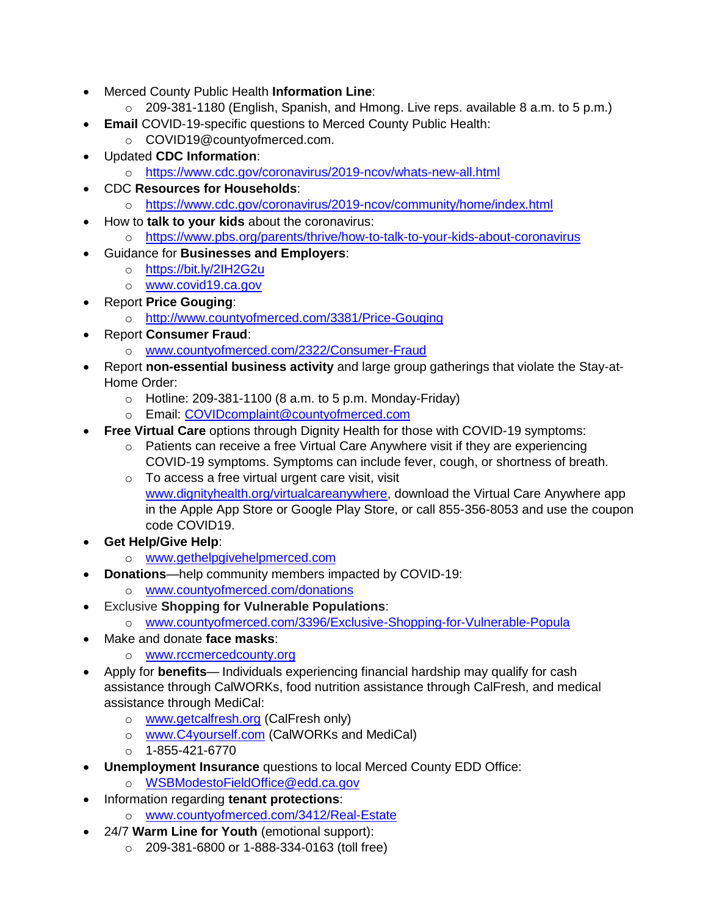- Merced County Public Health **Information Line**:
	- o 209-381-1180 (English, Spanish, and Hmong. Live reps. available 8 a.m. to 5 p.m.)
- **Email** COVID-19-specific questions to Merced County Public Health:
	- o COVID19@countyofmerced.com.
- Updated **CDC Information**:
	- o <https://www.cdc.gov/coronavirus/2019-ncov/whats-new-all.html>
- CDC **Resources for Households**:
	- o <https://www.cdc.gov/coronavirus/2019-ncov/community/home/index.html>
- How to **talk to your kids** about the coronavirus:
	- o <https://www.pbs.org/parents/thrive/how-to-talk-to-your-kids-about-coronavirus>
- Guidance for **Businesses and Employers**:
	- o <https://bit.ly/2IH2G2u>
	- o [www.covid19.ca.gov](http://www.covid19.ca.gov/)
- Report **Price Gouging**:
	- o <http://www.countyofmerced.com/3381/Price-Gouging>
	- Report **Consumer Fraud**:
		- o [www.countyofmerced.com/2322/Consumer-Fraud](http://www.countyofmerced.com/2322/Consumer-Fraud)
- Report **non-essential business activity** and large group gatherings that violate the Stay-at-Home Order:
	- $\circ$  Hotline: 209-381-1100 (8 a.m. to 5 p.m. Monday-Friday)
	- o Email: [COVIDcomplaint@countyofmerced.com](mailto:COVIDcomplaint@countyofmerced.com)
- **Free Virtual Care** options through Dignity Health for those with COVID-19 symptoms:
	- o Patients can receive a free Virtual Care Anywhere visit if they are experiencing COVID-19 symptoms. Symptoms can include fever, cough, or shortness of breath.
	- o To access a free virtual urgent care visit, visit [www.dignityhealth.org/virtualcareanywhere,](http://www.dignityhealth.org/virtualcareanywhere) download the Virtual Care Anywhere app in the Apple App Store or Google Play Store, or call 855-356-8053 and use the coupon code COVID19.
- **Get Help/Give Help**:
	- o [www.gethelpgivehelpmerced.com](http://www.gethelpgivehelpmerced.com/)
- **Donations**—help community members impacted by COVID-19:
	- o [www.countyofmerced.com/donations](http://www.countyofmerced.com/donations)
	- **Exclusive Shopping for Vulnerable Populations:** 
		- o [www.countyofmerced.com/3396/Exclusive-Shopping-for-Vulnerable-Popula](http://www.countyofmerced.com/3396/Exclusive-Shopping-for-Vulnerable-Popula)
- Make and donate **face masks**:
	- o [www.rccmercedcounty.org](http://www.rccmercedcounty.org/)
- Apply for **benefits** Individuals experiencing financial hardship may qualify for cash assistance through CalWORKs, food nutrition assistance through CalFresh, and medical assistance through MediCal:
	- o [www.getcalfresh.org](http://www.getcalfresh.org/) (CalFresh only)
	- o [www.C4yourself.com](http://www.c4yourself.com/) (CalWORKs and MediCal)
	- $O$  1-855-421-6770
- **Unemployment Insurance** questions to local Merced County EDD Office:
	- o [WSBModestoFieldOffice@edd.ca.gov](mailto:WSBModestoFieldOffice@edd.ca.gov)
- Information regarding **tenant protections**: o [www.countyofmerced.com/3412/Real-Estate](http://www.countyofmerced.com/3412/Real-Estate)
- 24/7 **Warm Line for Youth** (emotional support):
	- o 209-381-6800 or 1-888-334-0163 (toll free)